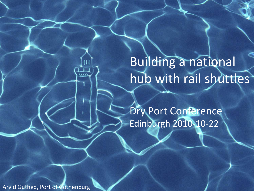## Building a national hub with rail shuttles

Dry Port Conference Edinburgh 2010-10-22

Arvid Guthed, Port of Gothenburg

 $\overline{u}\overline{u}$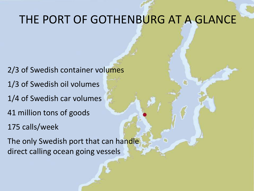#### THE PORT OF GOTHENBURG AT A GLANCE

2/3 of Swedish container volumes 1/3 of Swedish oil volumes 1/4 of Swedish car volumes 41 million tons of goods 175 calls/week The only Swedish port that can handle direct calling ocean going vessels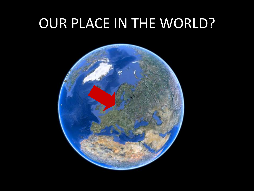# OUR PLACE IN THE WORLD?

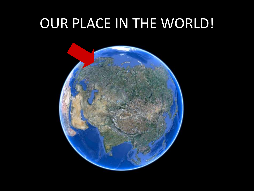# OUR PLACE IN THE WORLD!

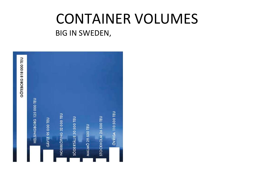## CONTAINER VOLUMES BIG IN SWEDEN,

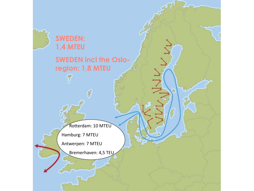

#### **SWEDEN: 1,4 MTEU**

**SWEDEN incl the Osloregion: 1,8 MTEU**

> **The Second**  $\overline{7}$

Rotterdam: 10 MTEU

Hamburg: 7 MTEU

Antwerpen: 7 MTEU

Bremerhaven: 4,5 TEU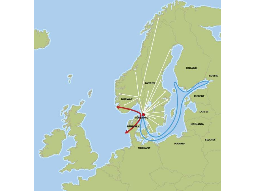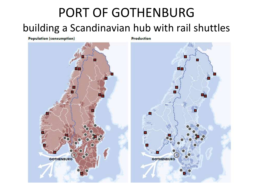## PORT OF GOTHENBURG building a Scandinavian hub with rail shuttles

**Population (consumption)** 



**Production** 

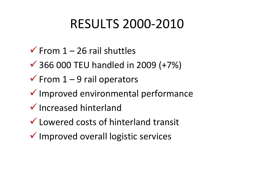## RESULTS 2000-2010

- $\checkmark$  From 1 26 rail shuttles
- 366 000 TEU handled in 2009 (+7%)
- $\checkmark$  From 1 9 rail operators
- $\checkmark$  Improved environmental performance
- $\checkmark$  Increased hinterland
- Lowered costs of hinterland transit
- $\checkmark$  Improved overall logistic services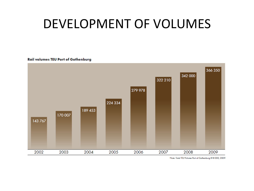## DEVELOPMENT OF VOLUMES

#### **Rail volumes TEU Port of Gothenburg**



Note: Total TEU Volume Port of Gothenburg 818 000, 2009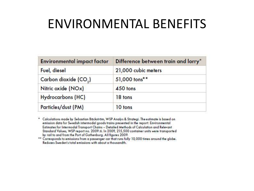## ENVIRONMENTAL BENEFITS

| <b>Environmental impact factor</b> | Difference between train and lorry* |
|------------------------------------|-------------------------------------|
| Fuel, diesel                       | 21,000 cubic meters                 |
| Carbon dioxide (CO <sub>2</sub> )  | 51,000 tons**                       |
| Nitric oxide (NOx)                 | 450 tons                            |
| <b>Hydrocarbons (HC)</b>           | 18 tons                             |
| Particles/dust (PM)                | 10 tons                             |

Calculations made by Sebastian Backström, WSP Analys & Strategi. The estimate is based on emission data for Swedish intermodal goods trains presented in the report: Environmental Estimates for Intermodal Transport Chains - Detailed Methods of Calculation and Relevant Standard Values, WSP report no. 2009:6. In 2009, 215,500 container units were transported by rail to and from the Port of Gothenburg. All figures 2009.

\*\* Corresponds to emissions from a passenger car that runs fully 10,000 times around the globe. Reduces Sweden's total emissions with about a thousandth.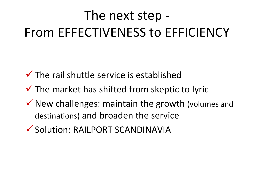## The next step - From EFFECTIVENESS to EFFICIENCY

 $\checkmark$  The rail shuttle service is established

- $\checkmark$  The market has shifted from skeptic to lyric
- $\checkmark$  New challenges: maintain the growth (volumes and destinations) and broaden the service
- ✔ Solution: RAILPORT SCANDINAVIA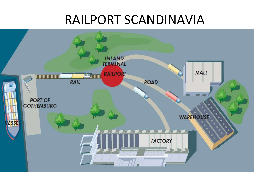### RAILPORT SCANDINAVIA

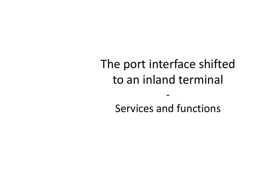## The port interface shifted to an inland terminal

Services and functions

-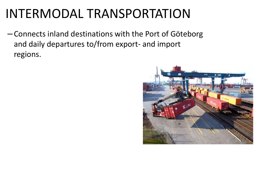## INTERMODAL TRANSPORTATION

–Connects inland destinations with the Port of Göteborg and daily departures to/from export- and import regions.

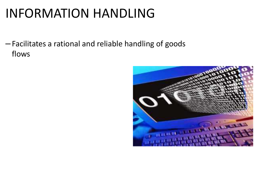## INFORMATION HANDLING

–Facilitates a rational and reliable handling of goods flows

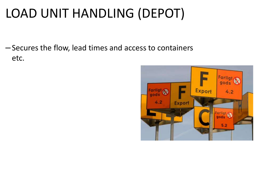## LOAD UNIT HANDLING (DEPOT)

–Secures the flow, lead times and access to containers etc.

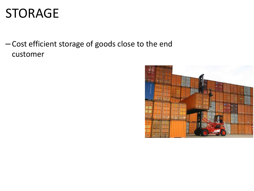## STORAGE

–Cost efficient storage of goods close to the end customer

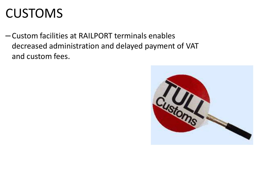## CUSTOMS

–Custom facilities at RAILPORT terminals enables decreased administration and delayed payment of VAT and custom fees.

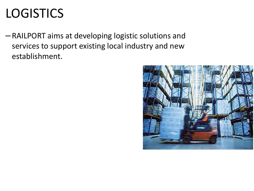## **LOGISTICS**

–RAILPORT aims at developing logistic solutions and services to support existing local industry and new establishment.

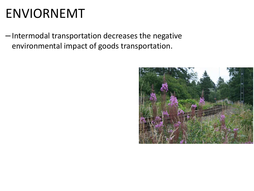## ENVIORNEMT

–Intermodal transportation decreases the negative environmental impact of goods transportation.